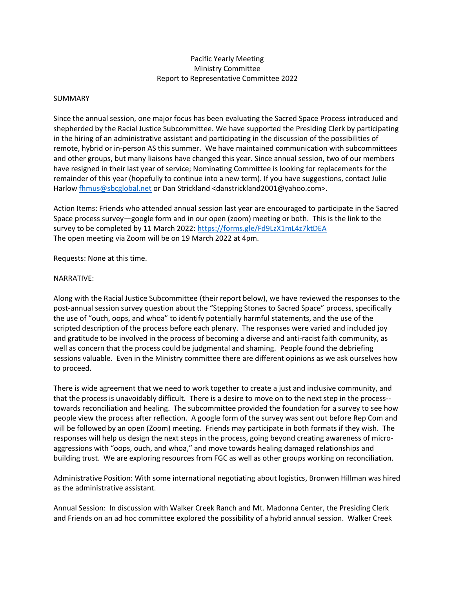## Pacific Yearly Meeting Ministry Committee Report to Representative Committee 2022

## SUMMARY

Since the annual session, one major focus has been evaluating the Sacred Space Process introduced and shepherded by the Racial Justice Subcommittee. We have supported the Presiding Clerk by participating in the hiring of an administrative assistant and participating in the discussion of the possibilities of remote, hybrid or in-person AS this summer. We have maintained communication with subcommittees and other groups, but many liaisons have changed this year. Since annual session, two of our members have resigned in their last year of service; Nominating Committee is looking for replacements for the remainder of this year (hopefully to continue into a new term). If you have suggestions, contact Julie Harlo[w fhmus@sbcglobal.net](mailto:fhmus@sbcglobal.net) or Dan Strickland <danstrickland2001@yahoo.com>.

Action Items: Friends who attended annual session last year are encouraged to participate in the Sacred Space process survey—google form and in our open (zoom) meeting or both. This is the link to the survey to be completed by 11 March 2022: <https://forms.gle/Fd9LzX1mL4z7ktDEA> The open meeting via Zoom will be on 19 March 2022 at 4pm.

Requests: None at this time.

## NARRATIVE:

Along with the Racial Justice Subcommittee (their report below), we have reviewed the responses to the post-annual session survey question about the "Stepping Stones to Sacred Space" process, specifically the use of "ouch, oops, and whoa" to identify potentially harmful statements, and the use of the scripted description of the process before each plenary. The responses were varied and included joy and gratitude to be involved in the process of becoming a diverse and anti-racist faith community, as well as concern that the process could be judgmental and shaming. People found the debriefing sessions valuable. Even in the Ministry committee there are different opinions as we ask ourselves how to proceed.

There is wide agreement that we need to work together to create a just and inclusive community, and that the process is unavoidably difficult. There is a desire to move on to the next step in the process- towards reconciliation and healing. The subcommittee provided the foundation for a survey to see how people view the process after reflection. A google form of the survey was sent out before Rep Com and will be followed by an open (Zoom) meeting. Friends may participate in both formats if they wish. The responses will help us design the next steps in the process, going beyond creating awareness of microaggressions with "oops, ouch, and whoa," and move towards healing damaged relationships and building trust. We are exploring resources from FGC as well as other groups working on reconciliation.

Administrative Position: With some international negotiating about logistics, Bronwen Hillman was hired as the administrative assistant.

Annual Session: In discussion with Walker Creek Ranch and Mt. Madonna Center, the Presiding Clerk and Friends on an ad hoc committee explored the possibility of a hybrid annual session. Walker Creek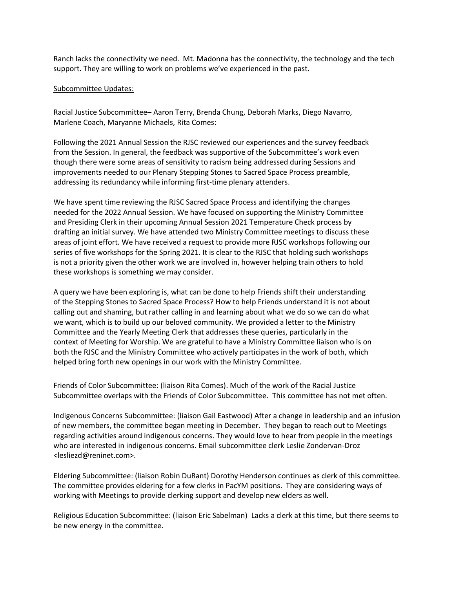Ranch lacks the connectivity we need. Mt. Madonna has the connectivity, the technology and the tech support. They are willing to work on problems we've experienced in the past.

## Subcommittee Updates:

Racial Justice Subcommittee– Aaron Terry, Brenda Chung, Deborah Marks, Diego Navarro, Marlene Coach, Maryanne Michaels, Rita Comes:

Following the 2021 Annual Session the RJSC reviewed our experiences and the survey feedback from the Session. In general, the feedback was supportive of the Subcommittee's work even though there were some areas of sensitivity to racism being addressed during Sessions and improvements needed to our Plenary Stepping Stones to Sacred Space Process preamble, addressing its redundancy while informing first-time plenary attenders.

We have spent time reviewing the RJSC Sacred Space Process and identifying the changes needed for the 2022 Annual Session. We have focused on supporting the Ministry Committee and Presiding Clerk in their upcoming Annual Session 2021 Temperature Check process by drafting an initial survey. We have attended two Ministry Committee meetings to discuss these areas of joint effort. We have received a request to provide more RJSC workshops following our series of five workshops for the Spring 2021. It is clear to the RJSC that holding such workshops is not a priority given the other work we are involved in, however helping train others to hold these workshops is something we may consider.

A query we have been exploring is, what can be done to help Friends shift their understanding of the Stepping Stones to Sacred Space Process? How to help Friends understand it is not about calling out and shaming, but rather calling in and learning about what we do so we can do what we want, which is to build up our beloved community. We provided a letter to the Ministry Committee and the Yearly Meeting Clerk that addresses these queries, particularly in the context of Meeting for Worship. We are grateful to have a Ministry Committee liaison who is on both the RJSC and the Ministry Committee who actively participates in the work of both, which helped bring forth new openings in our work with the Ministry Committee.

Friends of Color Subcommittee: (liaison Rita Comes). Much of the work of the Racial Justice Subcommittee overlaps with the Friends of Color Subcommittee. This committee has not met often.

Indigenous Concerns Subcommittee: (liaison Gail Eastwood) After a change in leadership and an infusion of new members, the committee began meeting in December. They began to reach out to Meetings regarding activities around indigenous concerns. They would love to hear from people in the meetings who are interested in indigenous concerns. Email subcommittee clerk Leslie Zondervan-Droz <lesliezd@reninet.com>.

Eldering Subcommittee: (liaison Robin DuRant) Dorothy Henderson continues as clerk of this committee. The committee provides eldering for a few clerks in PacYM positions. They are considering ways of working with Meetings to provide clerking support and develop new elders as well.

Religious Education Subcommittee: (liaison Eric Sabelman) Lacks a clerk at this time, but there seems to be new energy in the committee.